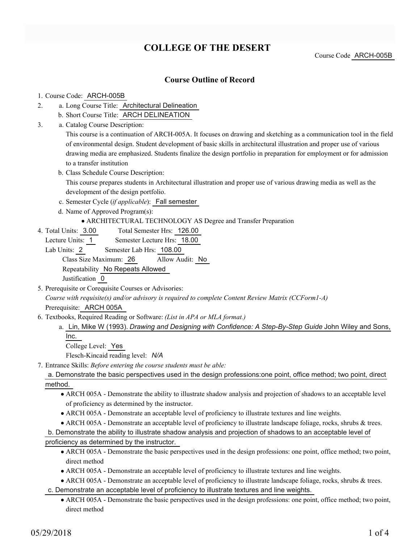# **COLLEGE OF THE DESERT**

Course Code ARCH-005B

## **Course Outline of Record**

### 1. Course Code: ARCH-005B

- a. Long Course Title: Architectural Delineation 2.
	- b. Short Course Title: ARCH DELINEATION
- Catalog Course Description: a. 3.

This course is a continuation of ARCH-005A. It focuses on drawing and sketching as a communication tool in the field of environmental design. Student development of basic skills in architectural illustration and proper use of various drawing media are emphasized. Students finalize the design portfolio in preparation for employment or for admission to a transfer institution

b. Class Schedule Course Description:

This course prepares students in Architectural illustration and proper use of various drawing media as well as the development of the design portfolio.

- c. Semester Cycle (*if applicable*): Fall semester
- d. Name of Approved Program(s):

ARCHITECTURAL TECHNOLOGY AS Degree and Transfer Preparation

Total Semester Hrs: 126.00 4. Total Units: 3.00

Lecture Units: 1 Semester Lecture Hrs: 18.00

Lab Units: 2 Semester Lab Hrs: 108.00 Class Size Maximum: 26 Allow Audit: No Repeatability No Repeats Allowed Justification 0

5. Prerequisite or Corequisite Courses or Advisories:

*Course with requisite(s) and/or advisory is required to complete Content Review Matrix (CCForm1-A)* Prerequisite: ARCH 005A

- Textbooks, Required Reading or Software: *(List in APA or MLA format.)* 6.
	- a. Lin, Mike W (1993). *Drawing and Designing with Confidence: A Step-By-Step Guide* John Wiley and Sons, Inc.

College Level: Yes

Flesch-Kincaid reading level: *N/A*

- Entrance Skills: *Before entering the course students must be able:* 7.
	- a. Demonstrate the basic perspectives used in the design professions:one point, office method; two point, direct method.
		- ARCH 005A Demonstrate the ability to illustrate shadow analysis and projection of shadows to an acceptable level of proficiency as determined by the instructor.
		- ARCH 005A Demonstrate an acceptable level of proficiency to illustrate textures and line weights.
		- ARCH 005A Demonstrate an acceptable level of proficiency to illustrate landscape foliage, rocks, shrubs & trees.

b. Demonstrate the ability to illustrate shadow analysis and projection of shadows to an acceptable level of

proficiency as determined by the instructor.

- ARCH 005A Demonstrate the basic perspectives used in the design professions: one point, office method; two point, direct method
- ARCH 005A Demonstrate an acceptable level of proficiency to illustrate textures and line weights.
- ARCH 005A Demonstrate an acceptable level of proficiency to illustrate landscape foliage, rocks, shrubs & trees.

c. Demonstrate an acceptable level of proficiency to illustrate textures and line weights.

ARCH 005A - Demonstrate the basic perspectives used in the design professions: one point, office method; two point, direct method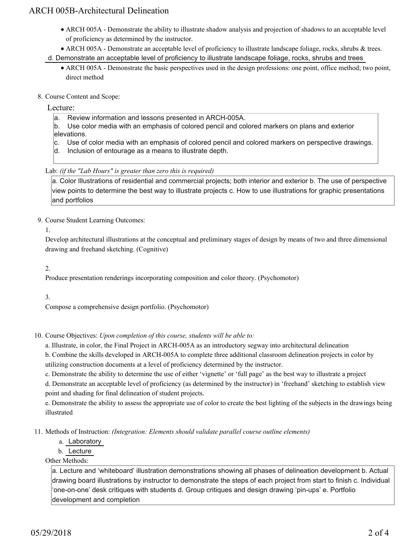## ARCH 005B-Architectural Delineation

- ARCH 005A Demonstrate the ability to illustrate shadow analysis and projection of shadows to an acceptable level of proficiency as determined by the instructor.
- ARCH 005A Demonstrate an acceptable level of proficiency to illustrate landscape foliage, rocks, shrubs & trees.
- d. Demonstrate an acceptable level of proficiency to illustrate landscape foliage, rocks, shrubs and trees
	- ARCH 005A Demonstrate the basic perspectives used in the design professions: one point, office method; two point, direct method
- 8. Course Content and Scope:

## Lecture:

- a. Review information and lessons presented in ARCH-005A.
- b. Use color media with an emphasis of colored pencil and colored markers on plans and exterior elevations.
- c. Use of color media with an emphasis of colored pencil and colored markers on perspective drawings.
- d. Inclusion of entourage as a means to illustrate depth.

## Lab: *(if the "Lab Hours" is greater than zero this is required)*

a. Color Illustrations of residential and commercial projects; both interior and exterior b. The use of perspective view points to determine the best way to illustrate projects c. How to use illustrations for graphic presentations and portfolios

9. Course Student Learning Outcomes:

1.

Develop architectural illustrations at the conceptual and preliminary stages of design by means of two and three dimensional drawing and freehand sketching. (Cognitive)

2.

Produce presentation renderings incorporating composition and color theory. (Psychomotor)

3.

Compose a comprehensive design portfolio. (Psychomotor)

10. Course Objectives: Upon completion of this course, students will be able to:

a. Illustrate, in color, the Final Project in ARCH-005A as an introductory segway into architectural delineation

b. Combine the skills developed in ARCH-005A to complete three additional classroom delineation projects in color by utilizing construction documents at a level of proficiency determined by the instructor.

c. Demonstrate the ability to determine the use of either 'vignette' or 'full page' as the best way to illustrate a project

d. Demonstrate an acceptable level of proficiency (as determined by the instructor) in 'freehand' sketching to establish view point and shading for final delineation of student projects.

e. Demonstrate the ability to assess the appropriate use of color to create the best lighting of the subjects in the drawings being illustrated

Methods of Instruction: *(Integration: Elements should validate parallel course outline elements)* 11.

- a. Laboratory
- b. Lecture

Other Methods:

a. Lecture and 'whiteboard' illustration demonstrations showing all phases of delineation development b. Actual drawing board illustrations by instructor to demonstrate the steps of each project from start to finish c. Individual 'one-on-one' desk critiques with students d. Group critiques and design drawing 'pin-ups' e. Portfolio development and completion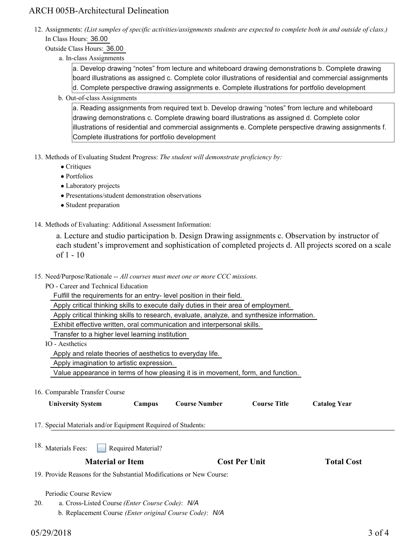## ARCH 005B-Architectural Delineation

12. Assignments: (List samples of specific activities/assignments students are expected to complete both in and outside of class.) In Class Hours: 36.00

Outside Class Hours: 36.00

a. In-class Assignments

a. Develop drawing "notes" from lecture and whiteboard drawing demonstrations b. Complete drawing board illustrations as assigned c. Complete color illustrations of residential and commercial assignments d. Complete perspective drawing assignments e. Complete illustrations for portfolio development

b. Out-of-class Assignments

a. Reading assignments from required text b. Develop drawing "notes" from lecture and whiteboard drawing demonstrations c. Complete drawing board illustrations as assigned d. Complete color illustrations of residential and commercial assignments e. Complete perspective drawing assignments f. Complete illustrations for portfolio development

- 13. Methods of Evaluating Student Progress: The student will demonstrate proficiency by:
	- Critiques
	- Portfolios
	- Laboratory projects
	- Presentations/student demonstration observations
	- Student preparation
- 14. Methods of Evaluating: Additional Assessment Information:

a. Lecture and studio participation b. Design Drawing assignments c. Observation by instructor of each student's improvement and sophistication of completed projects d. All projects scored on a scale of 1 - 10

- 15. Need/Purpose/Rationale -- All courses must meet one or more CCC missions.
	- PO Career and Technical Education
		- Fulfill the requirements for an entry- level position in their field.

Apply critical thinking skills to execute daily duties in their area of employment.

Apply critical thinking skills to research, evaluate, analyze, and synthesize information.

Exhibit effective written, oral communication and interpersonal skills.

Transfer to a higher level learning institution

IO - Aesthetics

Apply and relate theories of aesthetics to everyday life.

Apply imagination to artistic expression.

Value appearance in terms of how pleasing it is in movement, form, and function.

16. Comparable Transfer Course

| <b>University System</b>                                             | Campus                                                  | <b>Course Number</b> | <b>Course Title</b>  | <b>Catalog Year</b> |  |
|----------------------------------------------------------------------|---------------------------------------------------------|----------------------|----------------------|---------------------|--|
| 17. Special Materials and/or Equipment Required of Students:         |                                                         |                      |                      |                     |  |
| <sup>18.</sup> Materials Fees:                                       | <b>Required Material?</b>                               |                      |                      |                     |  |
| <b>Material or Item</b>                                              |                                                         |                      | <b>Cost Per Unit</b> | <b>Total Cost</b>   |  |
| 19. Provide Reasons for the Substantial Modifications or New Course: |                                                         |                      |                      |                     |  |
| Periodic Course Review                                               |                                                         |                      |                      |                     |  |
| 20.                                                                  | a. Cross-Listed Course (Enter Course Code): N/A         |                      |                      |                     |  |
|                                                                      | b. Replacement Course (Enter original Course Code): N/A |                      |                      |                     |  |